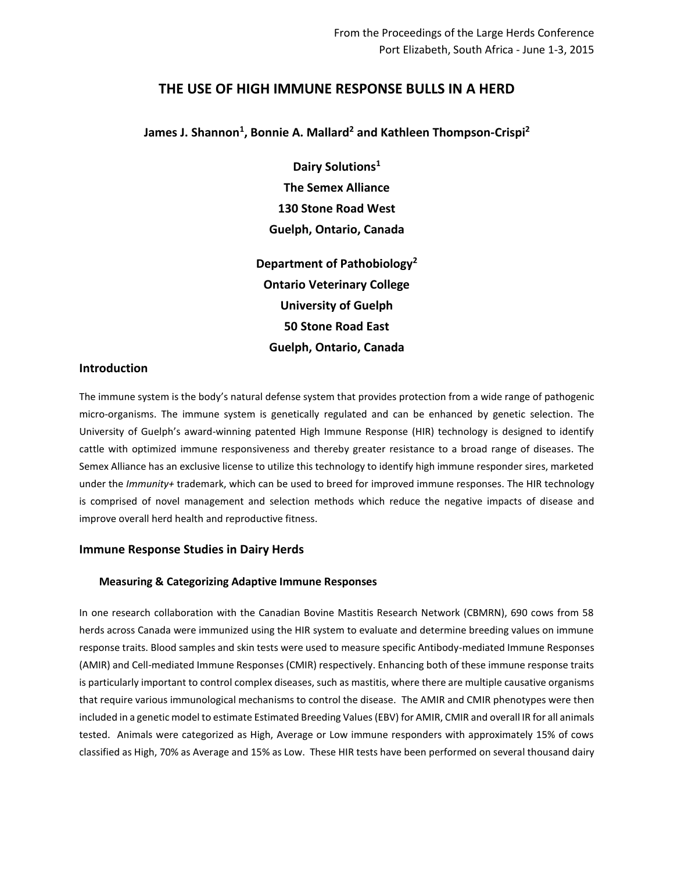# **THE USE OF HIGH IMMUNE RESPONSE BULLS IN A HERD**

# **James J. Shannon<sup>1</sup> , Bonnie A. Mallard<sup>2</sup> and Kathleen Thompson-Crispi<sup>2</sup>**

**Dairy Solutions<sup>1</sup> The Semex Alliance 130 Stone Road West Guelph, Ontario, Canada**

**Department of Pathobiology<sup>2</sup> Ontario Veterinary College University of Guelph 50 Stone Road East Guelph, Ontario, Canada**

# **Introduction**

The immune system is the body's natural defense system that provides protection from a wide range of pathogenic micro-organisms. The immune system is genetically regulated and can be enhanced by genetic selection. The University of Guelph's award-winning patented High Immune Response (HIR) technology is designed to identify cattle with optimized immune responsiveness and thereby greater resistance to a broad range of diseases. The Semex Alliance has an exclusive license to utilize this technology to identify high immune responder sires, marketed under the *Immunity+* trademark, which can be used to breed for improved immune responses. The HIR technology is comprised of novel management and selection methods which reduce the negative impacts of disease and improve overall herd health and reproductive fitness.

# **Immune Response Studies in Dairy Herds**

# **Measuring & Categorizing Adaptive Immune Responses**

In one research collaboration with the Canadian Bovine Mastitis Research Network (CBMRN), 690 cows from 58 herds across Canada were immunized using the HIR system to evaluate and determine breeding values on immune response traits. Blood samples and skin tests were used to measure specific Antibody-mediated Immune Responses (AMIR) and Cell-mediated Immune Responses (CMIR) respectively. Enhancing both of these immune response traits is particularly important to control complex diseases, such as mastitis, where there are multiple causative organisms that require various immunological mechanisms to control the disease. The AMIR and CMIR phenotypes were then included in a genetic model to estimate Estimated Breeding Values(EBV) for AMIR, CMIR and overall IR for all animals tested. Animals were categorized as High, Average or Low immune responders with approximately 15% of cows classified as High, 70% as Average and 15% as Low. These HIR tests have been performed on several thousand dairy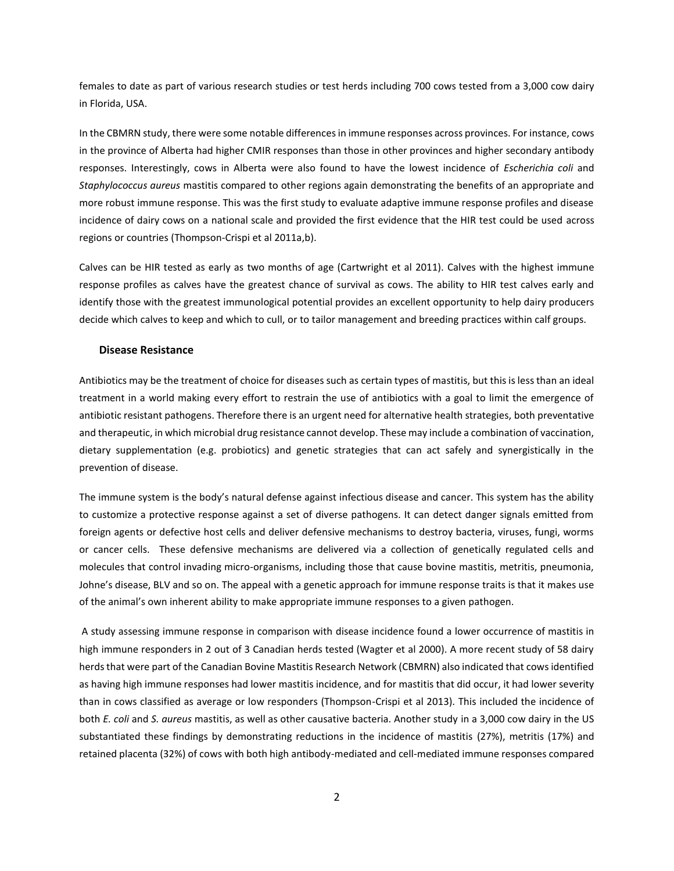females to date as part of various research studies or test herds including 700 cows tested from a 3,000 cow dairy in Florida, USA.

In the CBMRN study, there were some notable differences in immune responses across provinces. For instance, cows in the province of Alberta had higher CMIR responses than those in other provinces and higher secondary antibody responses. Interestingly, cows in Alberta were also found to have the lowest incidence of *Escherichia coli* and *Staphylococcus aureus* mastitis compared to other regions again demonstrating the benefits of an appropriate and more robust immune response. This was the first study to evaluate adaptive immune response profiles and disease incidence of dairy cows on a national scale and provided the first evidence that the HIR test could be used across regions or countries (Thompson-Crispi et al 2011a,b).

Calves can be HIR tested as early as two months of age (Cartwright et al 2011). Calves with the highest immune response profiles as calves have the greatest chance of survival as cows. The ability to HIR test calves early and identify those with the greatest immunological potential provides an excellent opportunity to help dairy producers decide which calves to keep and which to cull, or to tailor management and breeding practices within calf groups.

#### **Disease Resistance**

Antibiotics may be the treatment of choice for diseases such as certain types of mastitis, but this is less than an ideal treatment in a world making every effort to restrain the use of antibiotics with a goal to limit the emergence of antibiotic resistant pathogens. Therefore there is an urgent need for alternative health strategies, both preventative and therapeutic, in which microbial drug resistance cannot develop. These may include a combination of vaccination, dietary supplementation (e.g. probiotics) and genetic strategies that can act safely and synergistically in the prevention of disease.

The immune system is the body's natural defense against infectious disease and cancer. This system has the ability to customize a protective response against a set of diverse pathogens. It can detect danger signals emitted from foreign agents or defective host cells and deliver defensive mechanisms to destroy bacteria, viruses, fungi, worms or cancer cells. These defensive mechanisms are delivered via a collection of genetically regulated cells and molecules that control invading micro-organisms, including those that cause bovine mastitis, metritis, pneumonia, Johne's disease, BLV and so on. The appeal with a genetic approach for immune response traits is that it makes use of the animal's own inherent ability to make appropriate immune responses to a given pathogen.

A study assessing immune response in comparison with disease incidence found a lower occurrence of mastitis in high immune responders in 2 out of 3 Canadian herds tested (Wagter et al 2000). A more recent study of 58 dairy herds that were part of the Canadian Bovine Mastitis Research Network (CBMRN) also indicated that cows identified as having high immune responses had lower mastitis incidence, and for mastitis that did occur, it had lower severity than in cows classified as average or low responders (Thompson-Crispi et al 2013). This included the incidence of both *E. coli* and *S. aureus* mastitis, as well as other causative bacteria. Another study in a 3,000 cow dairy in the US substantiated these findings by demonstrating reductions in the incidence of mastitis (27%), metritis (17%) and retained placenta (32%) of cows with both high antibody-mediated and cell-mediated immune responses compared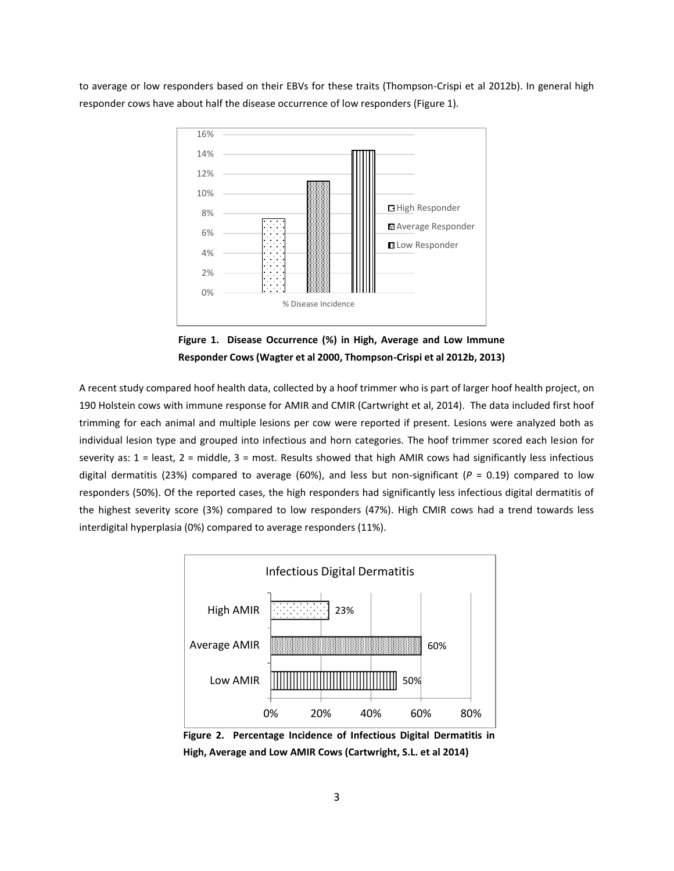to average or low responders based on their EBVs for these traits (Thompson-Crispi et al 2012b). In general high responder cows have about half the disease occurrence of low responders (Figure 1).



**Figure 1. Disease Occurrence (%) in High, Average and Low Immune Responder Cows (Wagter et al 2000, Thompson-Crispi et al 2012b, 2013)**

A recent study compared hoof health data, collected by a hoof trimmer who is part of larger hoof health project, on 190 Holstein cows with immune response for AMIR and CMIR (Cartwright et al, 2014). The data included first hoof trimming for each animal and multiple lesions per cow were reported if present. Lesions were analyzed both as individual lesion type and grouped into infectious and horn categories. The hoof trimmer scored each lesion for severity as:  $1 =$  least,  $2 =$  middle,  $3 =$  most. Results showed that high AMIR cows had significantly less infectious digital dermatitis (23%) compared to average (60%), and less but non-significant ( $P = 0.19$ ) compared to low responders (50%). Of the reported cases, the high responders had significantly less infectious digital dermatitis of the highest severity score (3%) compared to low responders (47%). High CMIR cows had a trend towards less interdigital hyperplasia (0%) compared to average responders (11%).



**Figure 2. Percentage Incidence of Infectious Digital Dermatitis in High, Average and Low AMIR Cows (Cartwright, S.L. et al 2014)**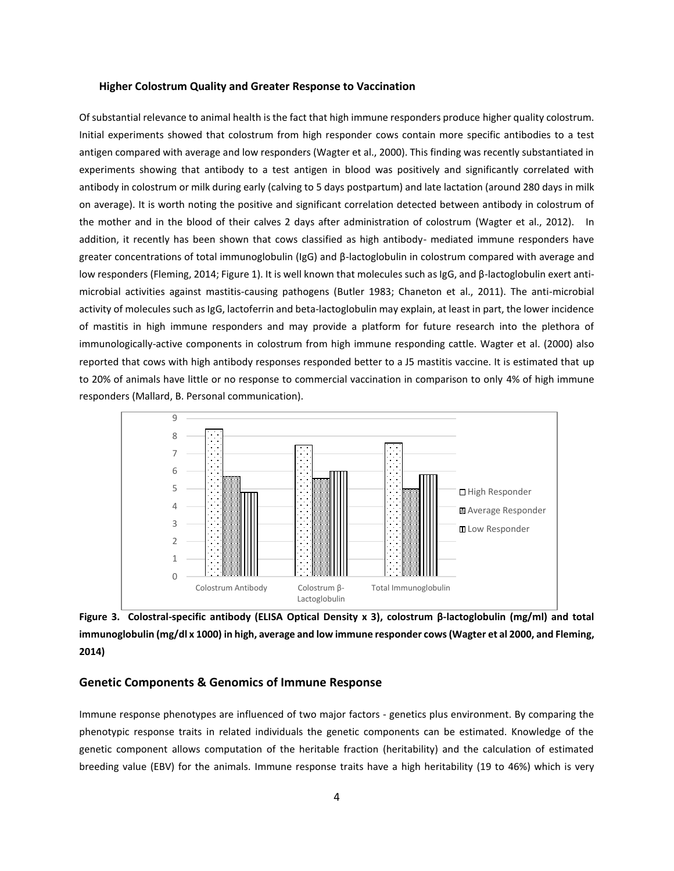#### **Higher Colostrum Quality and Greater Response to Vaccination**

Of substantial relevance to animal health is the fact that high immune responders produce higher quality colostrum. Initial experiments showed that colostrum from high responder cows contain more specific antibodies to a test antigen compared with average and low responders (Wagter et al., 2000). This finding was recently substantiated in experiments showing that antibody to a test antigen in blood was positively and significantly correlated with antibody in colostrum or milk during early (calving to 5 days postpartum) and late lactation (around 280 days in milk on average). It is worth noting the positive and significant correlation detected between antibody in colostrum of the mother and in the blood of their calves 2 days after administration of colostrum (Wagter et al., 2012). In addition, it recently has been shown that cows classified as high antibody- mediated immune responders have greater concentrations of total immunoglobulin (IgG) and β-lactoglobulin in colostrum compared with average and low responders (Fleming, 2014; Figure 1). It is well known that molecules such as IgG, and β-lactoglobulin exert antimicrobial activities against mastitis-causing pathogens (Butler 1983; Chaneton et al., 2011). The anti-microbial activity of molecules such as IgG, lactoferrin and beta-lactoglobulin may explain, at least in part, the lower incidence of mastitis in high immune responders and may provide a platform for future research into the plethora of immunologically-active components in colostrum from high immune responding cattle. Wagter et al. (2000) also reported that cows with high antibody responses responded better to a J5 mastitis vaccine. It is estimated that up to 20% of animals have little or no response to commercial vaccination in comparison to only 4% of high immune responders (Mallard, B. Personal communication).



**Figure 3. Colostral-specific antibody (ELISA Optical Density x 3), colostrum β-lactoglobulin (mg/ml) and total immunoglobulin (mg/dl x 1000) in high, average and low immune responder cows (Wagter et al 2000, and Fleming, 2014)**

### **Genetic Components & Genomics of Immune Response**

Immune response phenotypes are influenced of two major factors - genetics plus environment. By comparing the phenotypic response traits in related individuals the genetic components can be estimated. Knowledge of the genetic component allows computation of the heritable fraction (heritability) and the calculation of estimated breeding value (EBV) for the animals. Immune response traits have a high heritability (19 to 46%) which is very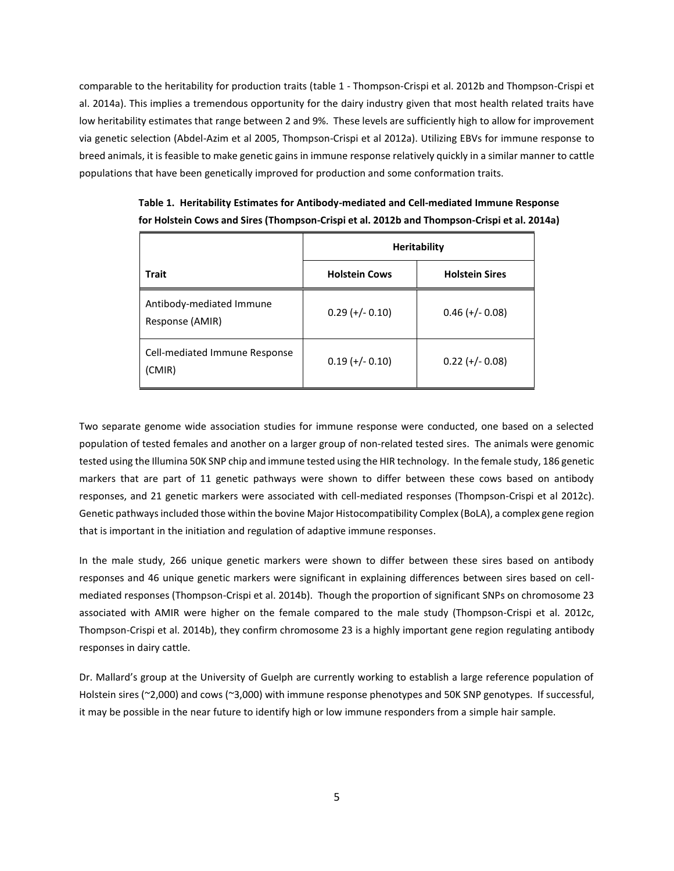comparable to the heritability for production traits (table 1 - Thompson-Crispi et al. 2012b and Thompson-Crispi et al. 2014a). This implies a tremendous opportunity for the dairy industry given that most health related traits have low heritability estimates that range between 2 and 9%. These levels are sufficiently high to allow for improvement via genetic selection (Abdel-Azim et al 2005, Thompson-Crispi et al 2012a). Utilizing EBVs for immune response to breed animals, it is feasible to make genetic gains in immune response relatively quickly in a similar manner to cattle populations that have been genetically improved for production and some conformation traits.

|                                             | <b>Heritability</b>  |                       |  |  |
|---------------------------------------------|----------------------|-----------------------|--|--|
| Trait                                       | <b>Holstein Cows</b> | <b>Holstein Sires</b> |  |  |
| Antibody-mediated Immune<br>Response (AMIR) | $0.29$ (+/- 0.10)    | $0.46$ (+/- 0.08)     |  |  |
| Cell-mediated Immune Response<br>(CMIR)     | $0.19 (+/- 0.10)$    | $0.22 (+/- 0.08)$     |  |  |

**Table 1. Heritability Estimates for Antibody-mediated and Cell-mediated Immune Response for Holstein Cows and Sires (Thompson-Crispi et al. 2012b and Thompson-Crispi et al. 2014a)**

Two separate genome wide association studies for immune response were conducted, one based on a selected population of tested females and another on a larger group of non-related tested sires. The animals were genomic tested using the Illumina 50K SNP chip and immune tested using the HIR technology. In the female study, 186 genetic markers that are part of 11 genetic pathways were shown to differ between these cows based on antibody responses, and 21 genetic markers were associated with cell-mediated responses (Thompson-Crispi et al 2012c). Genetic pathways included those within the bovine Major Histocompatibility Complex (BoLA), a complex gene region that is important in the initiation and regulation of adaptive immune responses.

In the male study, 266 unique genetic markers were shown to differ between these sires based on antibody responses and 46 unique genetic markers were significant in explaining differences between sires based on cellmediated responses (Thompson-Crispi et al. 2014b). Though the proportion of significant SNPs on chromosome 23 associated with AMIR were higher on the female compared to the male study (Thompson-Crispi et al. 2012c, Thompson-Crispi et al. 2014b), they confirm chromosome 23 is a highly important gene region regulating antibody responses in dairy cattle.

Dr. Mallard's group at the University of Guelph are currently working to establish a large reference population of Holstein sires (~2,000) and cows (~3,000) with immune response phenotypes and 50K SNP genotypes. If successful, it may be possible in the near future to identify high or low immune responders from a simple hair sample.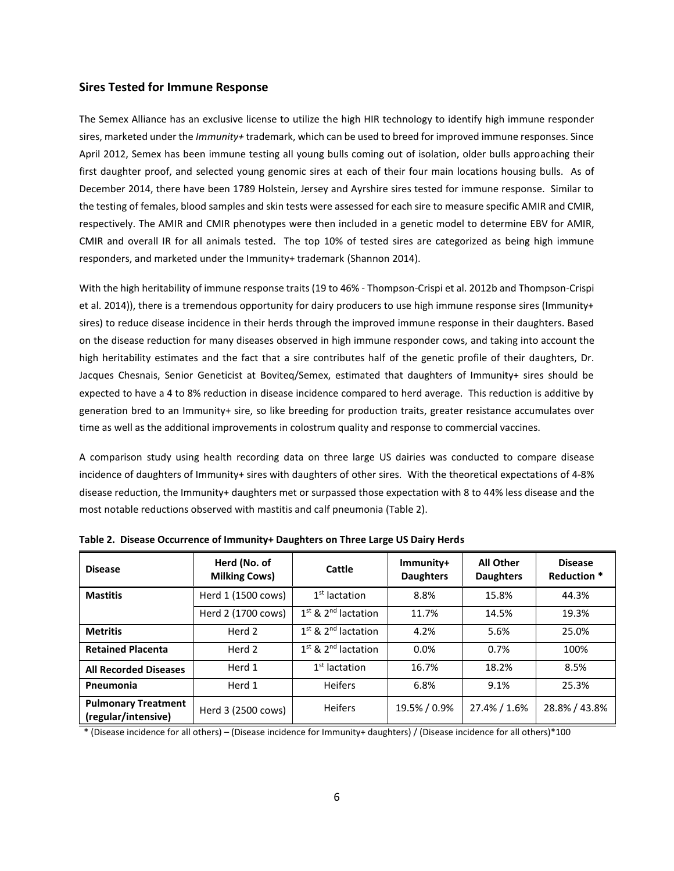### **Sires Tested for Immune Response**

The Semex Alliance has an exclusive license to utilize the high HIR technology to identify high immune responder sires, marketed under the *Immunity+* trademark, which can be used to breed for improved immune responses. Since April 2012, Semex has been immune testing all young bulls coming out of isolation, older bulls approaching their first daughter proof, and selected young genomic sires at each of their four main locations housing bulls. As of December 2014, there have been 1789 Holstein, Jersey and Ayrshire sires tested for immune response. Similar to the testing of females, blood samples and skin tests were assessed for each sire to measure specific AMIR and CMIR, respectively. The AMIR and CMIR phenotypes were then included in a genetic model to determine EBV for AMIR, CMIR and overall IR for all animals tested. The top 10% of tested sires are categorized as being high immune responders, and marketed under the Immunity+ trademark (Shannon 2014).

With the high heritability of immune response traits (19 to 46% - Thompson-Crispi et al. 2012b and Thompson-Crispi et al. 2014)), there is a tremendous opportunity for dairy producers to use high immune response sires (Immunity+ sires) to reduce disease incidence in their herds through the improved immune response in their daughters. Based on the disease reduction for many diseases observed in high immune responder cows, and taking into account the high heritability estimates and the fact that a sire contributes half of the genetic profile of their daughters, Dr. Jacques Chesnais, Senior Geneticist at Boviteq/Semex, estimated that daughters of Immunity+ sires should be expected to have a 4 to 8% reduction in disease incidence compared to herd average. This reduction is additive by generation bred to an Immunity+ sire, so like breeding for production traits, greater resistance accumulates over time as well as the additional improvements in colostrum quality and response to commercial vaccines.

A comparison study using health recording data on three large US dairies was conducted to compare disease incidence of daughters of Immunity+ sires with daughters of other sires. With the theoretical expectations of 4-8% disease reduction, the Immunity+ daughters met or surpassed those expectation with 8 to 44% less disease and the most notable reductions observed with mastitis and calf pneumonia (Table 2).

| <b>Disease</b>                                    | Herd (No. of<br><b>Milking Cows)</b> | Cattle                            | Immunity+<br><b>Daughters</b> | <b>All Other</b><br><b>Daughters</b> | <b>Disease</b><br>Reduction * |
|---------------------------------------------------|--------------------------------------|-----------------------------------|-------------------------------|--------------------------------------|-------------------------------|
| <b>Mastitis</b>                                   | Herd 1 (1500 cows)                   | $1st$ lactation                   | 8.8%                          | 15.8%                                | 44.3%                         |
|                                                   | Herd 2 (1700 cows)                   | $1st$ & $2nd$ lactation           | 11.7%                         | 14.5%                                | 19.3%                         |
| <b>Metritis</b>                                   | Herd 2                               | $1st$ & 2 <sup>nd</sup> lactation | 4.2%                          | 5.6%                                 | 25.0%                         |
| <b>Retained Placenta</b>                          | Herd 2                               | $1st$ & $2nd$ lactation           | 0.0%                          | 0.7%                                 | 100%                          |
| <b>All Recorded Diseases</b>                      | Herd 1                               | $1st$ lactation                   | 16.7%                         | 18.2%                                | 8.5%                          |
| Pneumonia                                         | Herd 1                               | <b>Heifers</b>                    | 6.8%                          | 9.1%                                 | 25.3%                         |
| <b>Pulmonary Treatment</b><br>(regular/intensive) | Herd 3 (2500 cows)                   | <b>Heifers</b>                    | 19.5% / 0.9%                  | 27.4% / 1.6%                         | 28.8% / 43.8%                 |

**Table 2. Disease Occurrence of Immunity+ Daughters on Three Large US Dairy Herds**

\* (Disease incidence for all others) – (Disease incidence for Immunity+ daughters) / (Disease incidence for all others)\*100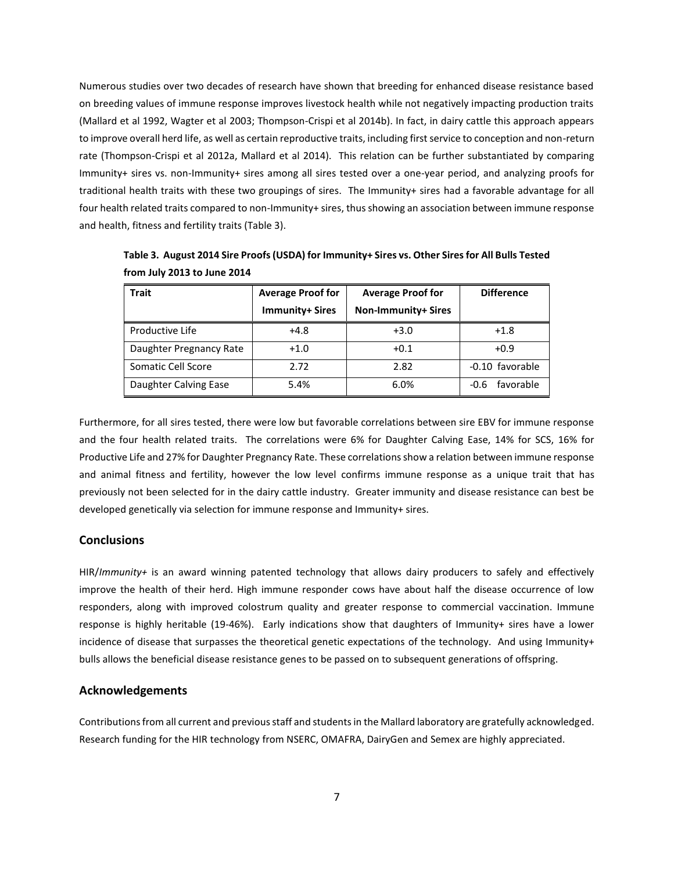Numerous studies over two decades of research have shown that breeding for enhanced disease resistance based on breeding values of immune response improves livestock health while not negatively impacting production traits (Mallard et al 1992, Wagter et al 2003; Thompson-Crispi et al 2014b). In fact, in dairy cattle this approach appears to improve overall herd life, as well as certain reproductive traits, including first service to conception and non-return rate (Thompson-Crispi et al 2012a, Mallard et al 2014). This relation can be further substantiated by comparing Immunity+ sires vs. non-Immunity+ sires among all sires tested over a one-year period, and analyzing proofs for traditional health traits with these two groupings of sires. The Immunity+ sires had a favorable advantage for all four health related traits compared to non-Immunity+ sires, thus showing an association between immune response and health, fitness and fertility traits (Table 3).

| <b>Trait</b>            | <b>Average Proof for</b><br><b>Immunity+ Sires</b> | <b>Average Proof for</b><br><b>Non-Immunity+ Sires</b> | <b>Difference</b> |
|-------------------------|----------------------------------------------------|--------------------------------------------------------|-------------------|
| Productive Life         | $+4.8$                                             | $+3.0$                                                 | $+1.8$            |
| Daughter Pregnancy Rate | $+1.0$                                             | $+0.1$                                                 | $+0.9$            |
| Somatic Cell Score      | 2.72                                               | 2.82                                                   | -0.10 favorable   |
| Daughter Calving Ease   | 5.4%                                               | 6.0%                                                   | favorable<br>-0.6 |

**Table 3. August 2014 Sire Proofs (USDA) for Immunity+ Sires vs. Other Sires for All Bulls Tested from July 2013 to June 2014**

Furthermore, for all sires tested, there were low but favorable correlations between sire EBV for immune response and the four health related traits. The correlations were 6% for Daughter Calving Ease, 14% for SCS, 16% for Productive Life and 27% for Daughter Pregnancy Rate. These correlations show a relation between immune response and animal fitness and fertility, however the low level confirms immune response as a unique trait that has previously not been selected for in the dairy cattle industry. Greater immunity and disease resistance can best be developed genetically via selection for immune response and Immunity+ sires.

### **Conclusions**

HIR/*Immunity+* is an award winning patented technology that allows dairy producers to safely and effectively improve the health of their herd. High immune responder cows have about half the disease occurrence of low responders, along with improved colostrum quality and greater response to commercial vaccination. Immune response is highly heritable (19-46%). Early indications show that daughters of Immunity+ sires have a lower incidence of disease that surpasses the theoretical genetic expectations of the technology. And using Immunity+ bulls allows the beneficial disease resistance genes to be passed on to subsequent generations of offspring.

# **Acknowledgements**

Contributions from all current and previous staff and students in the Mallard laboratory are gratefully acknowledged. Research funding for the HIR technology from NSERC, OMAFRA, DairyGen and Semex are highly appreciated.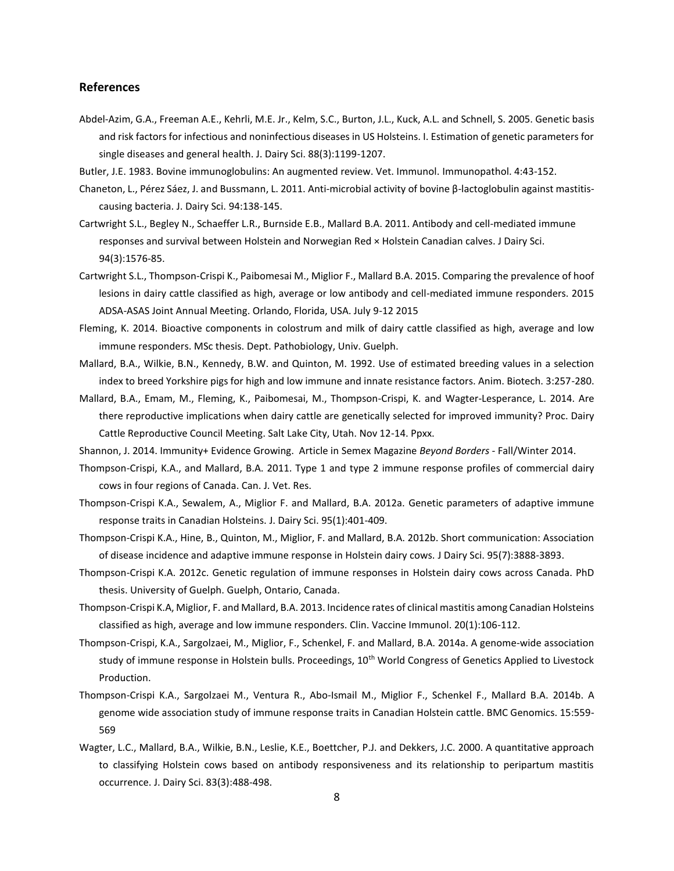### **References**

- Abdel-Azim, G.A., Freeman A.E., Kehrli, M.E. Jr., Kelm, S.C., Burton, J.L., Kuck, A.L. and Schnell, S. 2005. Genetic basis and risk factors for infectious and noninfectious diseases in US Holsteins. I. Estimation of genetic parameters for single diseases and general health. J. Dairy Sci. 88(3):1199-1207.
- Butler, J.E. 1983. Bovine immunoglobulins: An augmented review. Vet. Immunol. Immunopathol. 4:43-152.
- Chaneton, L., Pérez Sáez, J. and Bussmann, L. 2011. Anti-microbial activity of bovine β-lactoglobulin against mastitiscausing bacteria. J. Dairy Sci. 94:138-145.
- Cartwright S.L., Begley N., Schaeffer L.R., Burnside E.B., Mallard B.A. 2011. Antibody and cell-mediated immune responses and survival between Holstein and Norwegian Red × Holstein Canadian calves. J Dairy Sci. 94(3):1576-85.
- Cartwright S.L., Thompson-Crispi K., Paibomesai M., Miglior F., Mallard B.A. 2015. Comparing the prevalence of hoof lesions in dairy cattle classified as high, average or low antibody and cell-mediated immune responders. 2015 ADSA-ASAS Joint Annual Meeting. Orlando, Florida, USA. July 9-12 2015
- Fleming, K. 2014. Bioactive components in colostrum and milk of dairy cattle classified as high, average and low immune responders. MSc thesis. Dept. Pathobiology, Univ. Guelph.
- Mallard, B.A., Wilkie, B.N., Kennedy, B.W. and Quinton, M. 1992. Use of estimated breeding values in a selection index to breed Yorkshire pigs for high and low immune and innate resistance factors. Anim. Biotech. 3:257-280.
- Mallard, B.A., Emam, M., Fleming, K., Paibomesai, M., Thompson-Crispi, K. and Wagter-Lesperance, L. 2014. Are there reproductive implications when dairy cattle are genetically selected for improved immunity? Proc. Dairy Cattle Reproductive Council Meeting. Salt Lake City, Utah. Nov 12-14. Ppxx.

Shannon, J. 2014. Immunity+ Evidence Growing. Article in Semex Magazine *Beyond Borders -* Fall/Winter 2014.

- Thompson-Crispi, K.A., and Mallard, B.A. 2011. Type 1 and type 2 immune response profiles of commercial dairy cows in four regions of Canada. Can. J. Vet. Res.
- Thompson-Crispi K.A., Sewalem, A., Miglior F. and Mallard, B.A. 2012a. [Genetic parameters of adaptive immune](http://www.ncbi.nlm.nih.gov/pubmed/22192219)  [response traits in Canadian Holsteins.](http://www.ncbi.nlm.nih.gov/pubmed/22192219) J. Dairy Sci. 95(1):401-409.
- Thompson-Crispi K.A., Hine, B., Quinton, M., Miglior, F. and Mallard, B.A. 2012b. [Short communication: Association](http://www.ncbi.nlm.nih.gov/pubmed/22720943)  [of disease incidence and adaptive immune response in Holstein dairy cows.](http://www.ncbi.nlm.nih.gov/pubmed/22720943) J Dairy Sci. 95(7):3888-3893.
- Thompson-Crispi K.A. 2012c. Genetic regulation of immune responses in Holstein dairy cows across Canada. PhD thesis. University of Guelph. Guelph, Ontario, Canada.
- Thompson-Crispi K.A, Miglior, F. and Mallard, B.A. 2013. Incidence rates of clinical mastitis among Canadian Holsteins classified as high, average and low immune responders. Clin. Vaccine Immunol. 20(1):106-112.
- Thompson-Crispi, K.A., Sargolzaei, M., Miglior, F., Schenkel, F. and Mallard, B.A. 2014a. A genome-wide association study of immune response in Holstein bulls. Proceedings, 10<sup>th</sup> World Congress of Genetics Applied to Livestock Production.
- Thompson-Crispi K.A., Sargolzaei M., Ventura R., Abo-Ismail M., Miglior F., Schenkel F., Mallard B.A. 2014b. A genome wide association study of immune response traits in Canadian Holstein cattle. BMC Genomics. 15:559- 569
- Wagter, L.C., Mallard, B.A., Wilkie, B.N., Leslie, K.E., Boettcher, P.J. and Dekkers, J.C. 2000. A quantitative approach to classifying Holstein cows based on antibody responsiveness and its relationship to peripartum mastitis occurrence. J. Dairy Sci. 83(3):488-498.